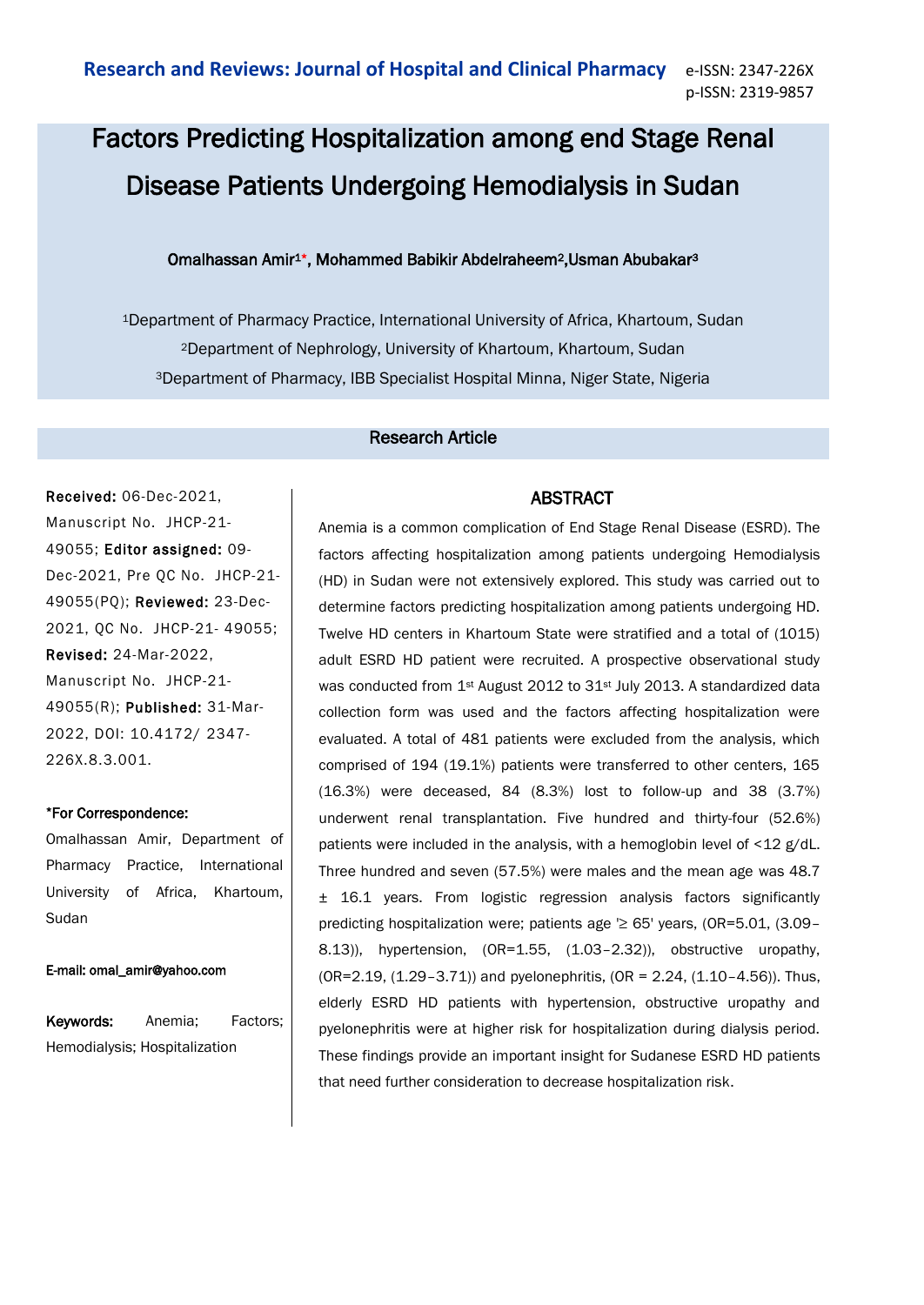# Factors Predicting Hospitalization among end Stage Renal Disease Patients Undergoing Hemodialysis in Sudan

## Omalhassan Amir1\*, Mohammed Babikir Abdelraheem2,Usman Abubakar<sup>3</sup>

<sup>1</sup>Department of Pharmacy Practice, International University of Africa, Khartoum, Sudan <sup>2</sup>Department of Nephrology, University of Khartoum, Khartoum, Sudan <sup>3</sup>Department of Pharmacy, IBB Specialist Hospital Minna, Niger State, Nigeria

## Research Article

Received: 06-Dec-2021, Manuscript No. JHCP-21- 49055; Editor assigned: 09- Dec-2021, Pre QC No. JHCP-21- 49055(PQ); Reviewed: 23-Dec-2021, QC No. JHCP-21- 49055; Revised: 24-Mar-2022, Manuscript No. JHCP-21- 49055(R); Published: 31-Mar-2022, DOI: 10.4172/ 2347- 226X.8.3.001.

#### \*For Correspondence:

Omalhassan Amir, Department of Pharmacy Practice, International University of Africa, Khartoum, Sudan

#### E-mail: omal\_amir@yahoo.com

Keywords: Anemia; Factors; Hemodialysis; Hospitalization

# ABSTRACT

Anemia is a common complication of End Stage Renal Disease (ESRD). The factors affecting hospitalization among patients undergoing Hemodialysis (HD) in Sudan were not extensively explored. This study was carried out to determine factors predicting hospitalization among patients undergoing HD. Twelve HD centers in Khartoum State were stratified and a total of (1015) adult ESRD HD patient were recruited. A prospective observational study was conducted from 1<sup>st</sup> August 2012 to 31<sup>st</sup> July 2013. A standardized data collection form was used and the factors affecting hospitalization were evaluated. A total of 481 patients were excluded from the analysis, which comprised of 194 (19.1%) patients were transferred to other centers, 165 (16.3%) were deceased, 84 (8.3%) lost to follow-up and 38 (3.7%) underwent renal transplantation. Five hundred and thirty-four (52.6%) patients were included in the analysis, with a hemoglobin level of <12 g/dL. Three hundred and seven (57.5%) were males and the mean age was 48.7 ± 16.1 years. From logistic regression analysis factors significantly predicting hospitalization were; patients age '≥ 65' years, (OR=5.01, (3.09-8.13)), hypertension, (OR=1.55, (1.03–2.32)), obstructive uropathy, (OR=2.19, (1.29–3.71)) and pyelonephritis, (OR = 2.24, (1.10–4.56)). Thus, elderly ESRD HD patients with hypertension, obstructive uropathy and pyelonephritis were at higher risk for hospitalization during dialysis period. These findings provide an important insight for Sudanese ESRD HD patients that need further consideration to decrease hospitalization risk.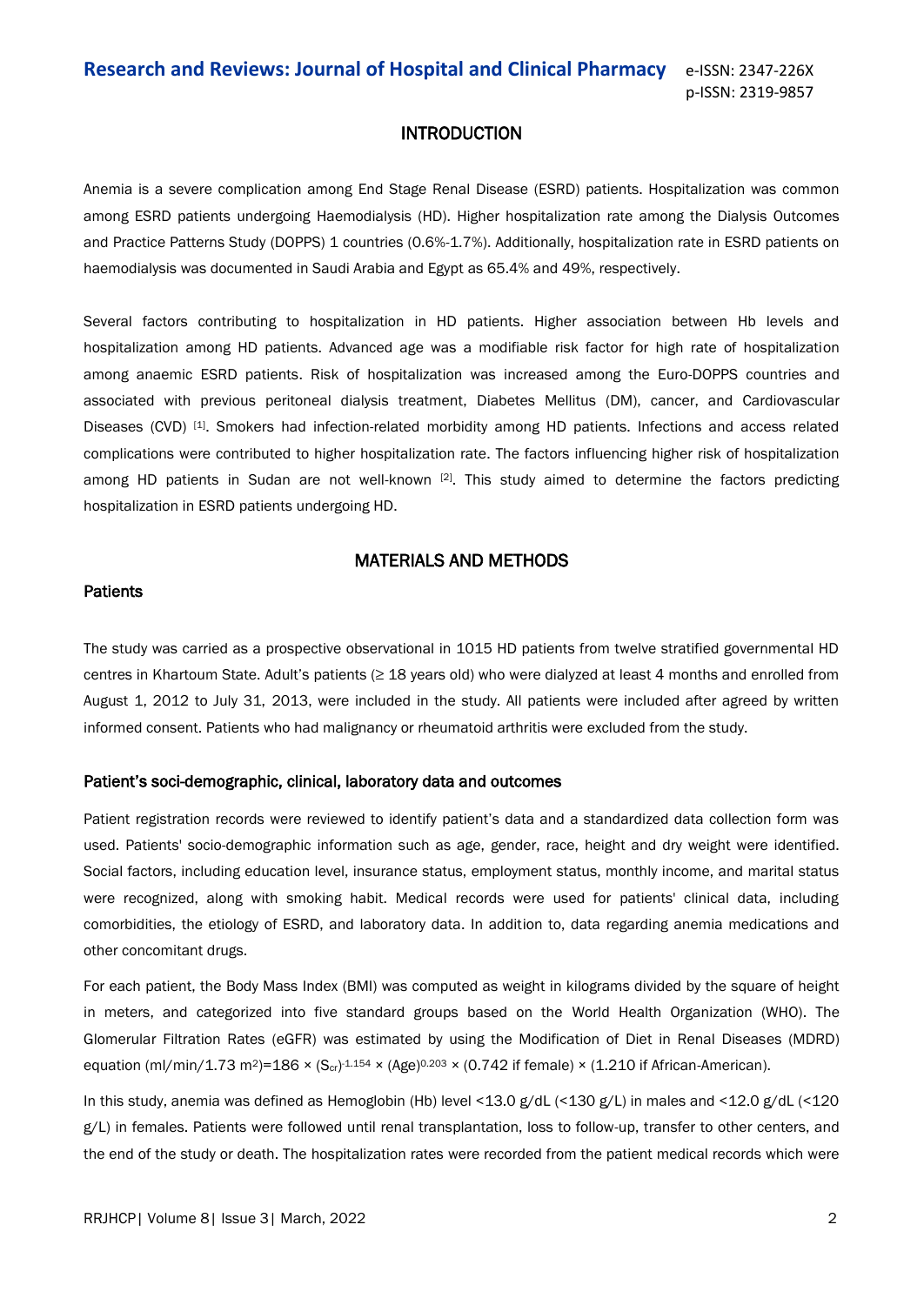# INTRODUCTION

Anemia is a severe complication among End Stage Renal Disease (ESRD) patients. Hospitalization was common among ESRD patients undergoing Haemodialysis (HD). Higher hospitalization rate among the Dialysis Outcomes and Practice Patterns Study (DOPPS) 1 countries (0.6%-1.7%). Additionally, hospitalization rate in ESRD patients on haemodialysis was documented in Saudi Arabia and Egypt as 65.4% and 49%, respectively.

Several factors contributing to hospitalization in HD patients. Higher association between Hb levels and hospitalization among HD patients. Advanced age was a modifiable risk factor for high rate of hospitalization among anaemic ESRD patients. Risk of hospitalization was increased among the Euro-DOPPS countries and associated with previous peritoneal dialysis treatment, Diabetes Mellitus (DM), cancer, and Cardiovascular Diseases (CVD) [1]. Smokers had infection-related morbidity among HD patients. Infections and access related complications were contributed to higher hospitalization rate. The factors influencing higher risk of hospitalization among HD patients in Sudan are not well-known [2]. This study aimed to determine the factors predicting hospitalization in ESRD patients undergoing HD.

## MATERIALS AND METHODS

#### **Patients**

The study was carried as a prospective observational in 1015 HD patients from twelve stratified governmental HD centres in Khartoum State. Adult's patients (≥ 18 years old) who were dialyzed at least 4 months and enrolled from August 1, 2012 to July 31, 2013, were included in the study. All patients were included after agreed by written informed consent. Patients who had malignancy or rheumatoid arthritis were excluded from the study.

#### Patient's soci-demographic, clinical, laboratory data and outcomes

Patient registration records were reviewed to identify patient's data and a standardized data collection form was used. Patients' socio-demographic information such as age, gender, race, height and dry weight were identified. Social factors, including education level, insurance status, employment status, monthly income, and marital status were recognized, along with smoking habit. Medical records were used for patients' clinical data, including comorbidities, the etiology of ESRD, and laboratory data. In addition to, data regarding anemia medications and other concomitant drugs.

For each patient, the Body Mass Index (BMI) was computed as weight in kilograms divided by the square of height in meters, and categorized into five standard groups based on the World Health Organization (WHO). The Glomerular Filtration Rates (eGFR) was estimated by using the Modification of Diet in Renal Diseases (MDRD) equation (ml/min/1.73 m<sup>2</sup>)=186 × (S<sub>cr</sub>)<sup>-1.154</sup> × (Age)<sup>0.203</sup> × (0.742 if female) × (1.210 if African-American).

In this study, anemia was defined as Hemoglobin (Hb) level <13.0 g/dL (<130 g/L) in males and <12.0 g/dL (<120 g/L) in females. Patients were followed until renal transplantation, loss to follow-up, transfer to other centers, and the end of the study or death. The hospitalization rates were recorded from the patient medical records which were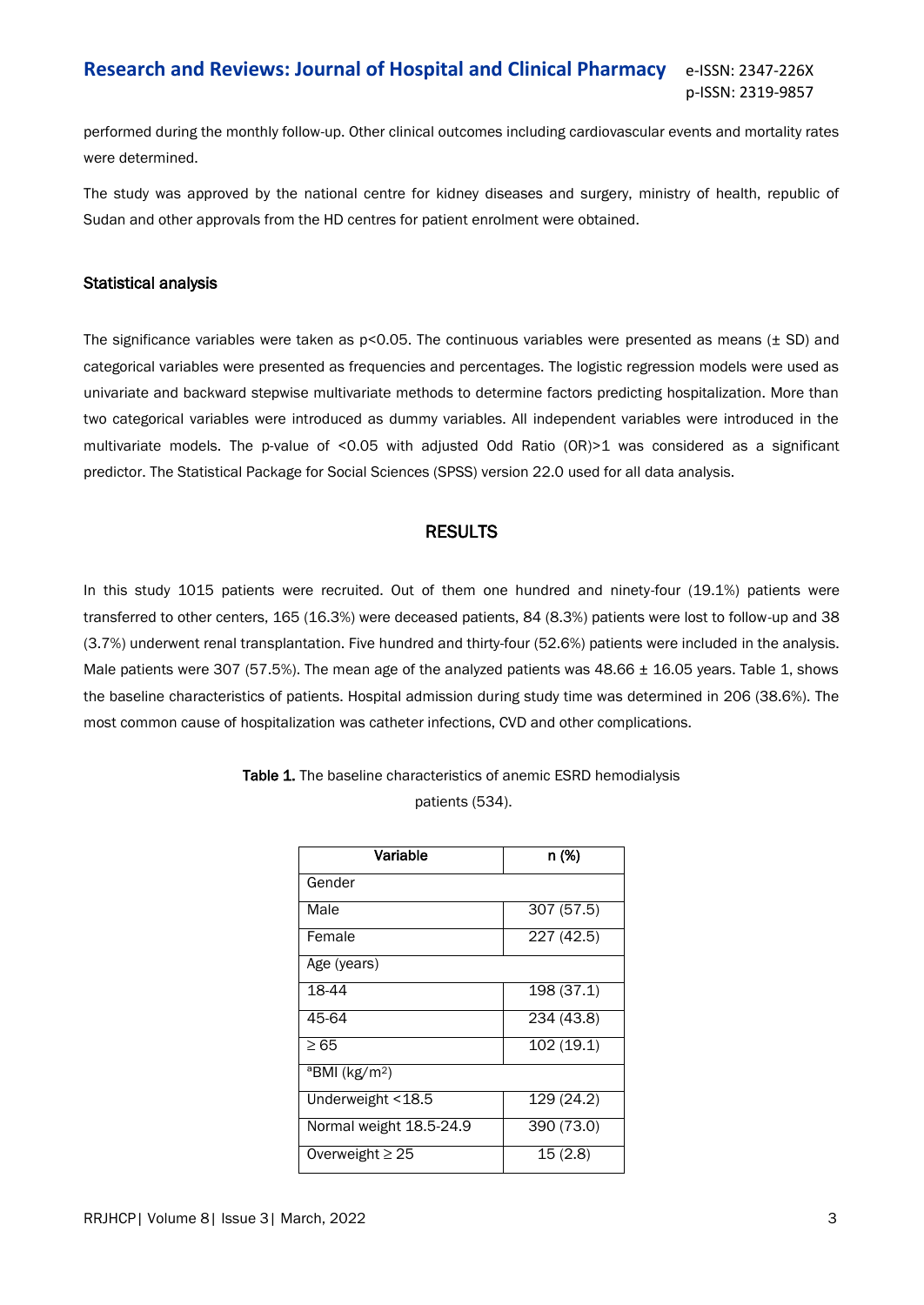performed during the monthly follow-up. Other clinical outcomes including cardiovascular events and mortality rates were determined.

The study was approved by the national centre for kidney diseases and surgery, ministry of health, republic of Sudan and other approvals from the HD centres for patient enrolment were obtained.

#### Statistical analysis

The significance variables were taken as  $p<0.05$ . The continuous variables were presented as means ( $\pm$  SD) and categorical variables were presented as frequencies and percentages. The logistic regression models were used as univariate and backward stepwise multivariate methods to determine factors predicting hospitalization. More than two categorical variables were introduced as dummy variables. All independent variables were introduced in the multivariate models. The p-value of <0.05 with adjusted Odd Ratio (OR)>1 was considered as a significant predictor. The Statistical Package for Social Sciences (SPSS) version 22.0 used for all data analysis.

## RESULTS

In this study 1015 patients were recruited. Out of them one hundred and ninety-four (19.1%) patients were transferred to other centers, 165 (16.3%) were deceased patients, 84 (8.3%) patients were lost to follow-up and 38 (3.7%) underwent renal transplantation. Five hundred and thirty-four (52.6%) patients were included in the analysis. Male patients were 307 (57.5%). The mean age of the analyzed patients was 48.66 ± 16.05 years. Table 1, shows the baseline characteristics of patients. Hospital admission during study time was determined in 206 (38.6%). The most common cause of hospitalization was catheter infections, CVD and other complications.

| Variable                                      | n (%)      |  |  |
|-----------------------------------------------|------------|--|--|
| Gender                                        |            |  |  |
| Male                                          | 307 (57.5) |  |  |
| Female                                        | 227 (42.5) |  |  |
| Age (years)                                   |            |  |  |
| 18-44                                         | 198 (37.1) |  |  |
| 45-64                                         | 234 (43.8) |  |  |
| $\geq 65$                                     | 102 (19.1) |  |  |
| $\overline{\text{B}}$ MI (kg/m <sup>2</sup> ) |            |  |  |
| Underweight <18.5                             | 129 (24.2) |  |  |
| Normal weight 18.5-24.9                       | 390 (73.0) |  |  |
| Overweight $\geq$ 25                          | 15(2.8)    |  |  |

Table 1. The baseline characteristics of anemic ESRD hemodialysis patients (534).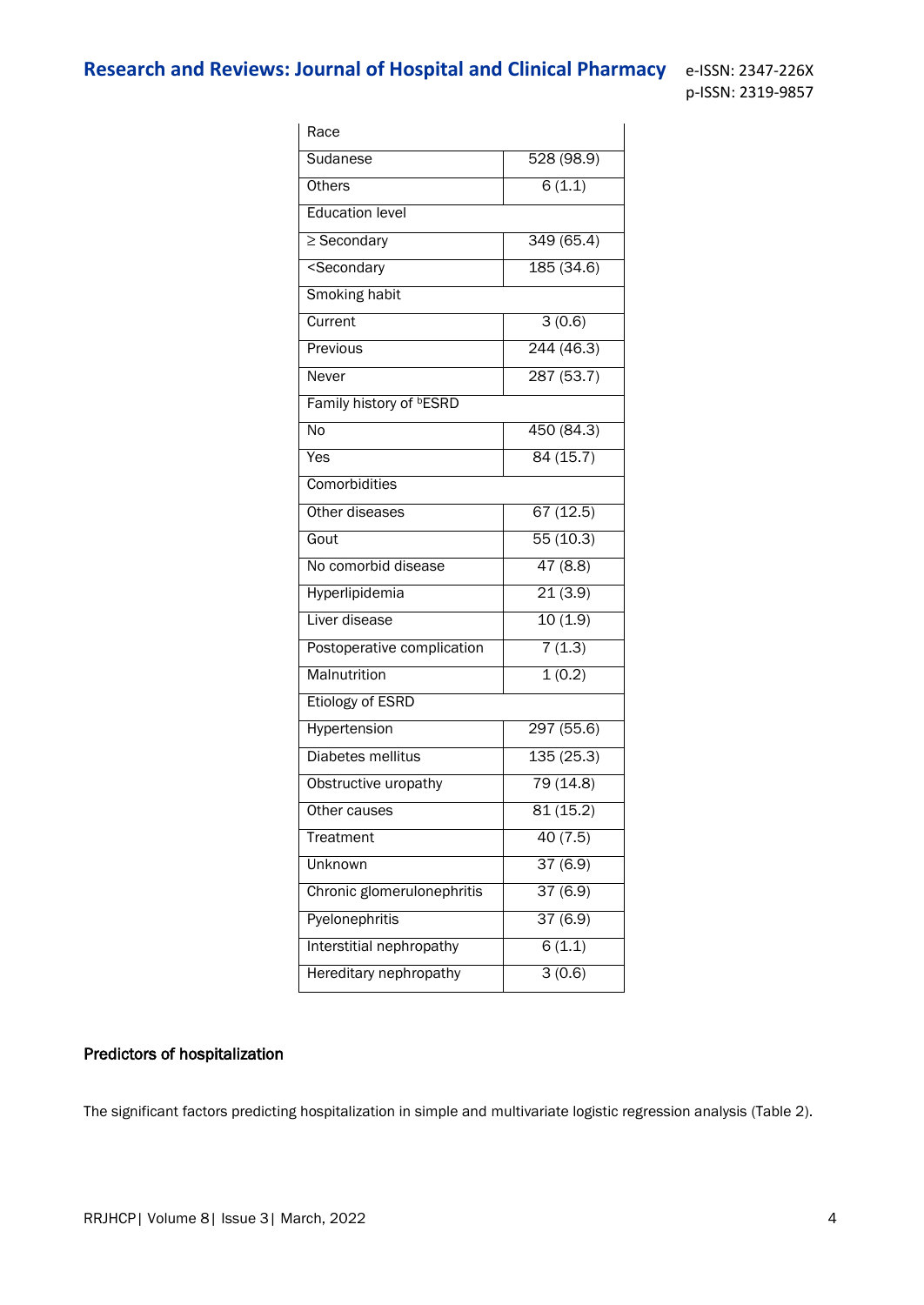p-ISSN: 2319-9857

| Race                                              |           |  |  |  |  |  |
|---------------------------------------------------|-----------|--|--|--|--|--|
| Sudanese                                          | 528(98.9) |  |  |  |  |  |
| <b>Others</b>                                     | 6(1.1)    |  |  |  |  |  |
| <b>Education level</b>                            |           |  |  |  |  |  |
| $\geq$ Secondary                                  | 349(65.4) |  |  |  |  |  |
| <secondary< td=""><td>185(34.6)</td></secondary<> | 185(34.6) |  |  |  |  |  |
| <b>Smoking habit</b>                              |           |  |  |  |  |  |
| Current                                           | 3(0.6)    |  |  |  |  |  |
| Previous                                          | 244(46.3) |  |  |  |  |  |
| Never                                             | 287(53.7) |  |  |  |  |  |
| Family history of <b><b>ESRD</b></b>              |           |  |  |  |  |  |
| No                                                | 450(84.3) |  |  |  |  |  |
| Yes                                               | 84(15.7)  |  |  |  |  |  |
| Comorbidities                                     |           |  |  |  |  |  |
| Other diseases                                    | 67(12.5)  |  |  |  |  |  |
| Gout                                              | 55(10.3)  |  |  |  |  |  |
| No comorbid disease                               | 47(8.8)   |  |  |  |  |  |
| Hyperlipidemia                                    | 21(3.9)   |  |  |  |  |  |
| Liver disease                                     | 10(1.9)   |  |  |  |  |  |
| Postoperative complication                        | 7(1.3)    |  |  |  |  |  |
| Malnutrition                                      | 1(0.2)    |  |  |  |  |  |
| <b>Etiology of ESRD</b>                           |           |  |  |  |  |  |
| Hypertension                                      | 297(55.6) |  |  |  |  |  |
| Diabetes mellitus                                 | 135(25.3) |  |  |  |  |  |
| Obstructive uropathy                              | 79(14.8)  |  |  |  |  |  |
| Other causes                                      | 81(15.2)  |  |  |  |  |  |
| Treatment                                         | 40(7.5)   |  |  |  |  |  |
| Unknown                                           | 37(6.9)   |  |  |  |  |  |
| Chronic glomerulonephritis                        | 37(6.9)   |  |  |  |  |  |
| Pyelonephritis                                    | 37(6.9)   |  |  |  |  |  |
| Interstitial nephropathy                          | 6(1.1)    |  |  |  |  |  |
| Hereditary nephropathy                            | 3(0.6)    |  |  |  |  |  |

# Predictors of hospitalization

The significant factors predicting hospitalization in simple and multivariate logistic regression analysis (Table 2).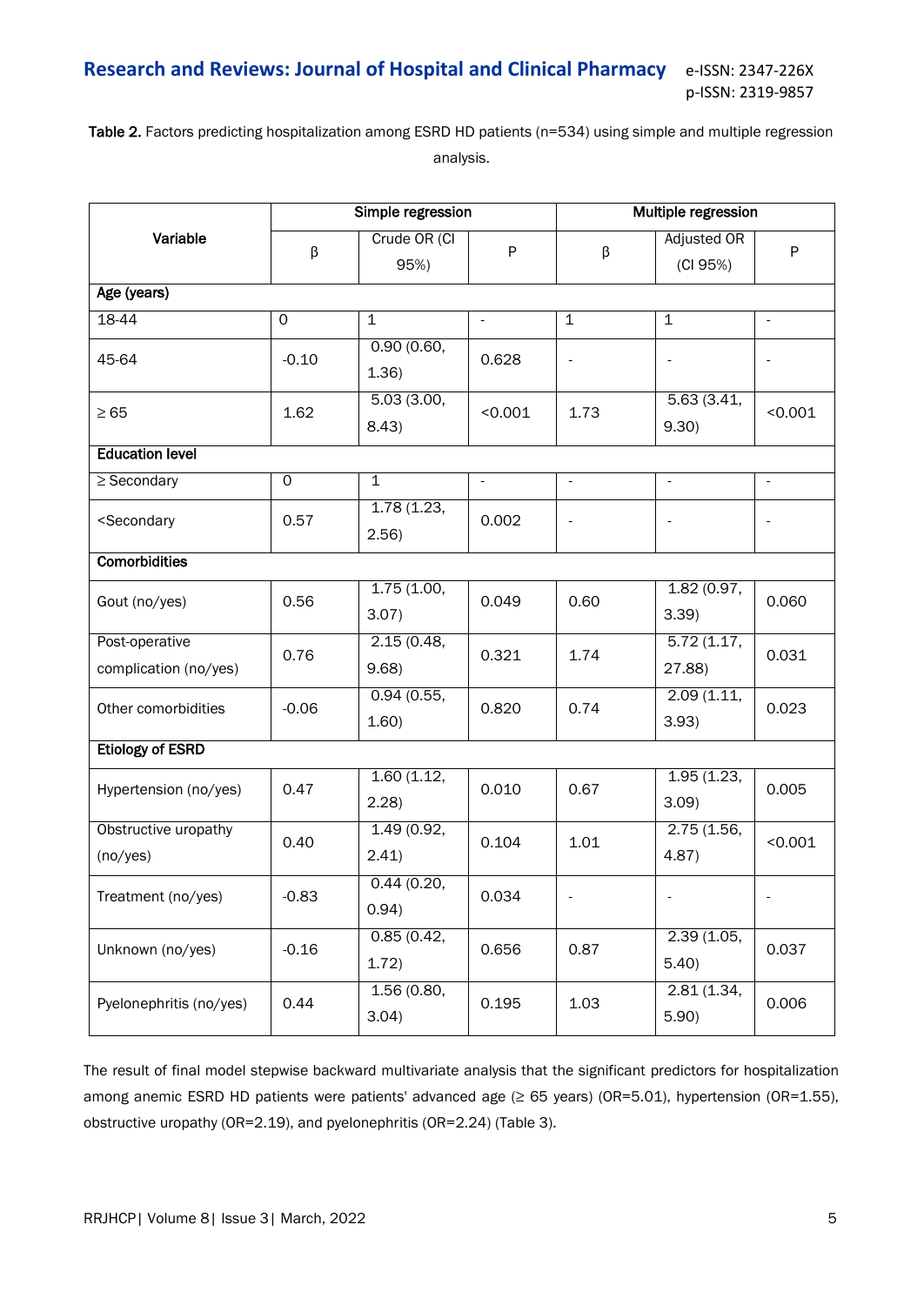Table 2. Factors predicting hospitalization among ESRD HD patients (n=534) using simple and multiple regression analysis.

| Variable                                                                                                           | Simple regression |                      |                | <b>Multiple regression</b>   |                                |                          |  |  |
|--------------------------------------------------------------------------------------------------------------------|-------------------|----------------------|----------------|------------------------------|--------------------------------|--------------------------|--|--|
|                                                                                                                    | β                 | Crude OR (CI<br>95%) | $\mathsf{P}$   | β                            | <b>Adjusted OR</b><br>(CI 95%) | P                        |  |  |
| Age (years)                                                                                                        |                   |                      |                |                              |                                |                          |  |  |
| 18-44                                                                                                              | $\overline{0}$    | $\mathbf 1$          | $\blacksquare$ | $\mathbf 1$                  | $\mathbf{1}$                   | $\overline{\phantom{a}}$ |  |  |
| 45-64                                                                                                              | $-0.10$           | 0.90(0.60,<br>1.36)  | 0.628          | $\qquad \qquad \blacksquare$ | $\overline{\phantom{a}}$       |                          |  |  |
| $\geq 65$                                                                                                          | 1.62              | 5.03(3.00,<br>8.43)  | < 0.001        | 1.73                         | 5.63(3.41,<br>9.30)            | < 0.001                  |  |  |
| <b>Education level</b>                                                                                             |                   |                      |                |                              |                                |                          |  |  |
| $\geq$ Secondary                                                                                                   | 0                 | $\mathbf{1}$         | $\blacksquare$ | $\overline{\phantom{a}}$     | $\overline{\phantom{a}}$       | $\overline{\phantom{a}}$ |  |  |
| <secondary< td=""><td>0.57</td><td>1.78(1.23,<br/>2.56)</td><td>0.002</td><td></td><td></td><td></td></secondary<> | 0.57              | 1.78(1.23,<br>2.56)  | 0.002          |                              |                                |                          |  |  |
| <b>Comorbidities</b>                                                                                               |                   |                      |                |                              |                                |                          |  |  |
| Gout (no/yes)                                                                                                      | 0.56              | 1.75(1.00,<br>3.07)  | 0.049          | 0.60                         | 1.82(0.97,<br>3.39             | 0.060                    |  |  |
| Post-operative<br>complication (no/yes)                                                                            | 0.76              | 2.15(0.48,<br>9.68   | 0.321          | 1.74                         | 5.72(1.17,<br>27.88)           | 0.031                    |  |  |
| Other comorbidities                                                                                                | $-0.06$           | 0.94(0.55,<br>1.60)  | 0.820          | 0.74                         | 2.09(1.11,<br>3.93)            | 0.023                    |  |  |
| <b>Etiology of ESRD</b>                                                                                            |                   |                      |                |                              |                                |                          |  |  |
| Hypertension (no/yes)                                                                                              | 0.47              | 1.60(1.12,<br>2.28   | 0.010          | 0.67                         | 1.95(1.23,<br>3.09             | 0.005                    |  |  |
| Obstructive uropathy<br>(no/yes)                                                                                   | 0.40              | 1.49(0.92,<br>2.41)  | 0.104          | 1.01                         | 2.75(1.56,<br>4.87)            | < 0.001                  |  |  |
| Treatment (no/yes)                                                                                                 | $-0.83$           | 0.44(0.20,<br>0.94)  | 0.034          | $\overline{\phantom{a}}$     |                                |                          |  |  |
| Unknown (no/yes)                                                                                                   | $-0.16$           | 0.85(0.42,<br>1.72)  | 0.656          | 0.87                         | 2.39(1.05,<br>5.40)            | 0.037                    |  |  |
| Pyelonephritis (no/yes)                                                                                            | 0.44              | 1.56(0.80,<br>3.04)  | 0.195          | 1.03                         | 2.81(1.34,<br>5.90)            | 0.006                    |  |  |

The result of final model stepwise backward multivariate analysis that the significant predictors for hospitalization among anemic ESRD HD patients were patients' advanced age (≥ 65 years) (OR=5.01), hypertension (OR=1.55), obstructive uropathy (OR=2.19), and pyelonephritis (OR=2.24) (Table 3).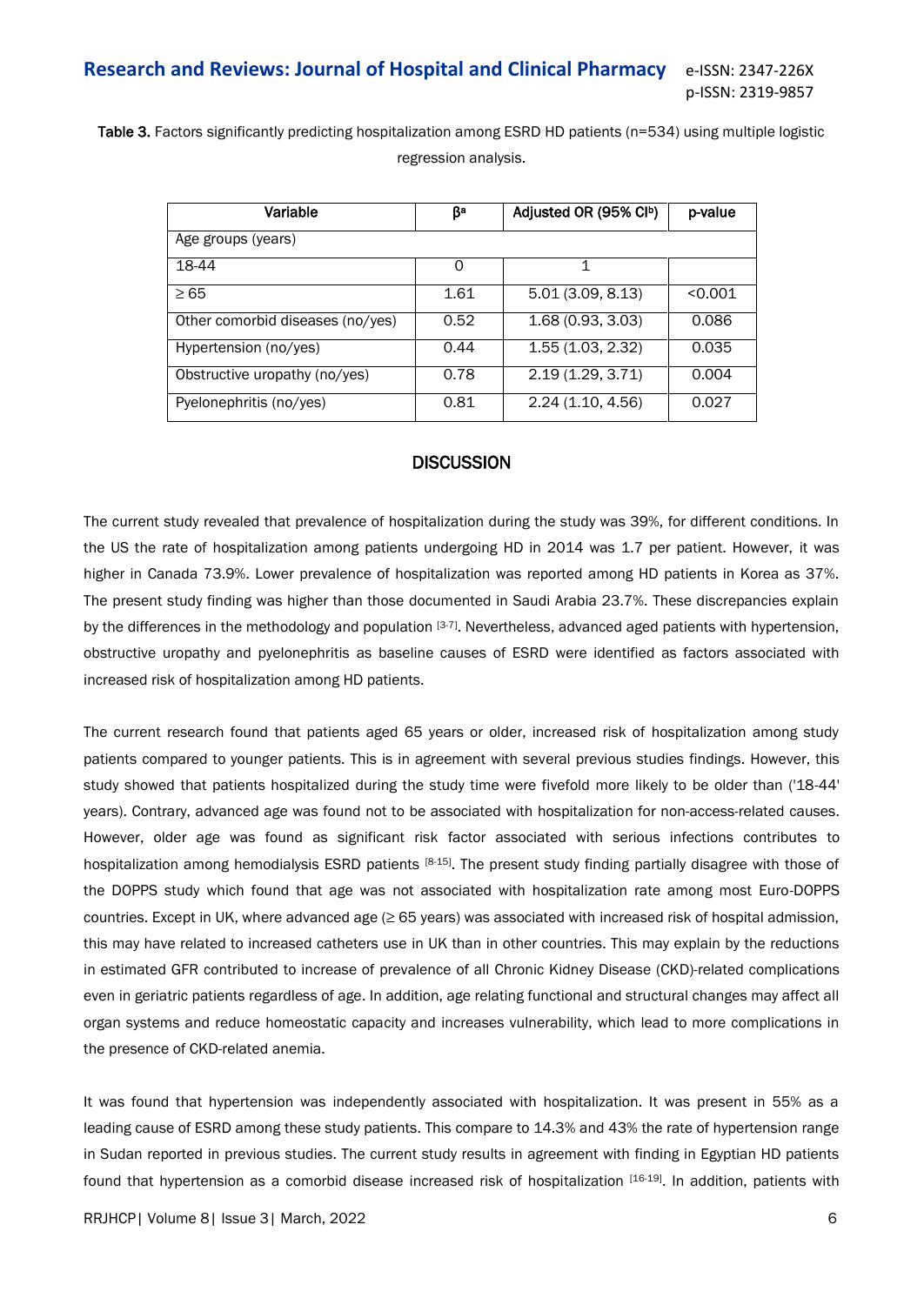Table 3. Factors significantly predicting hospitalization among ESRD HD patients (n=534) using multiple logistic regression analysis.

| Variable                         | ßа   | Adjusted OR (95% CIb) | p-value |
|----------------------------------|------|-----------------------|---------|
| Age groups (years)               |      |                       |         |
| 18-44                            | Ω    | 1                     |         |
| $\geq 65$                        | 1.61 | 5.01(3.09, 8.13)      | < 0.001 |
| Other comorbid diseases (no/yes) | 0.52 | 1.68(0.93, 3.03)      | 0.086   |
| Hypertension (no/yes)            | 0.44 | 1.55(1.03, 2.32)      | 0.035   |
| Obstructive uropathy (no/yes)    | 0.78 | 2.19(1.29, 3.71)      | 0.004   |
| Pyelonephritis (no/yes)          | 0.81 | 2.24(1.10, 4.56)      | 0.027   |

## **DISCUSSION**

The current study revealed that prevalence of hospitalization during the study was 39%, for different conditions. In the US the rate of hospitalization among patients undergoing HD in 2014 was 1.7 per patient. However, it was higher in Canada 73.9%. Lower prevalence of hospitalization was reported among HD patients in Korea as 37%. The present study finding was higher than those documented in Saudi Arabia 23.7%. These discrepancies explain by the differences in the methodology and population  $[3-7]$ . Nevertheless, advanced aged patients with hypertension, obstructive uropathy and pyelonephritis as baseline causes of ESRD were identified as factors associated with increased risk of hospitalization among HD patients.

The current research found that patients aged 65 years or older, increased risk of hospitalization among study patients compared to younger patients. This is in agreement with several previous studies findings. However, this study showed that patients hospitalized during the study time were fivefold more likely to be older than ('18-44' years). Contrary, advanced age was found not to be associated with hospitalization for non-access-related causes. However, older age was found as significant risk factor associated with serious infections contributes to hospitalization among hemodialysis ESRD patients [8-15]. The present study finding partially disagree with those of the DOPPS study which found that age was not associated with hospitalization rate among most Euro-DOPPS countries. Except in UK, where advanced age ( $\geq$  65 years) was associated with increased risk of hospital admission, this may have related to increased catheters use in UK than in other countries. This may explain by the reductions in estimated GFR contributed to increase of prevalence of all Chronic Kidney Disease (CKD)-related complications even in geriatric patients regardless of age. In addition, age relating functional and structural changes may affect all organ systems and reduce homeostatic capacity and increases vulnerability, which lead to more complications in the presence of CKD-related anemia.

It was found that hypertension was independently associated with hospitalization. It was present in 55% as a leading cause of ESRD among these study patients. This compare to 14.3% and 43% the rate of hypertension range in Sudan reported in previous studies. The current study results in agreement with finding in Egyptian HD patients found that hypertension as a comorbid disease increased risk of hospitalization [16-19]. In addition, patients with

RRJHCP| Volume 8| Issue 3| March, 2022 6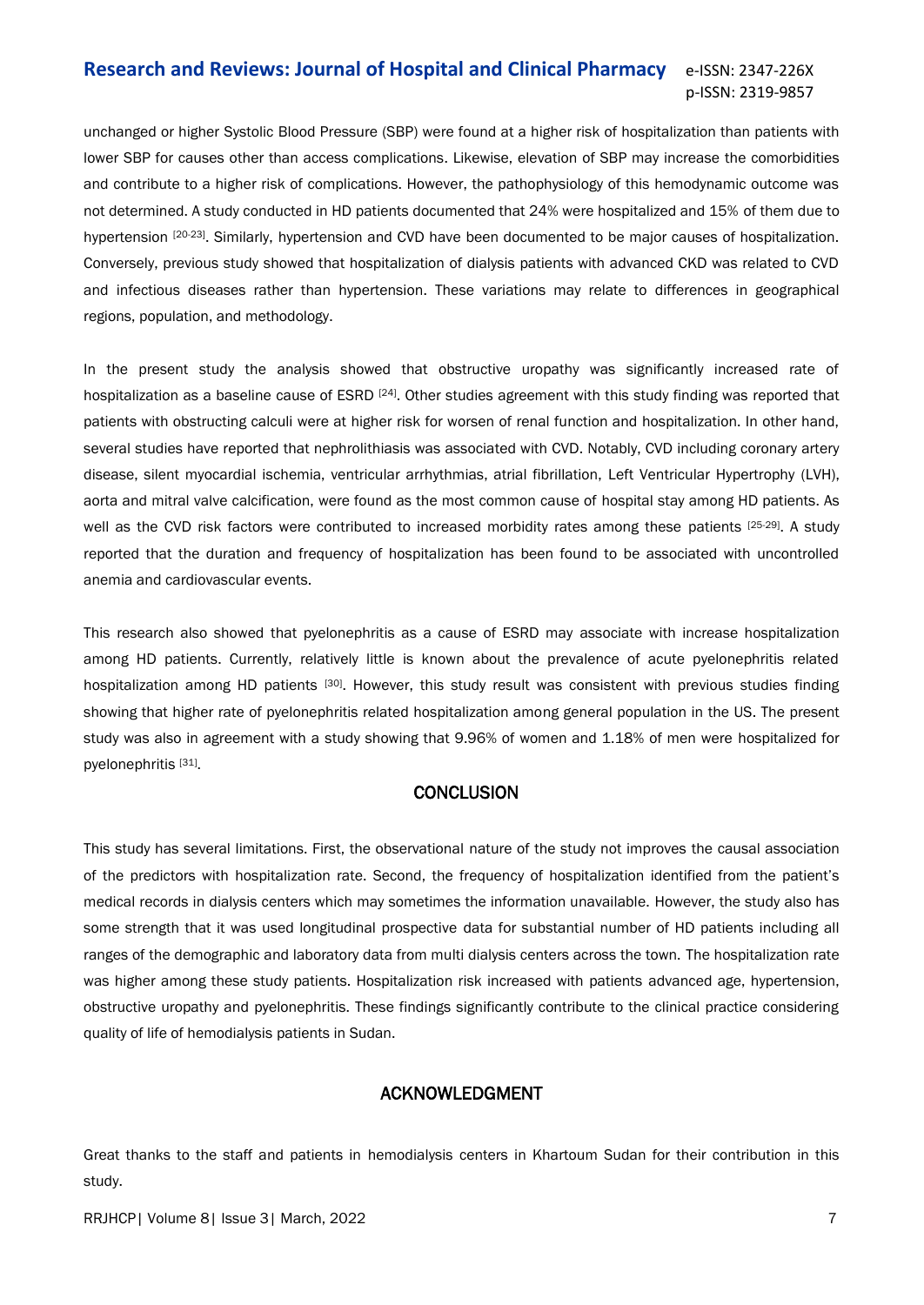unchanged or higher Systolic Blood Pressure (SBP) were found at a higher risk of hospitalization than patients with lower SBP for causes other than access complications. Likewise, elevation of SBP may increase the comorbidities and contribute to a higher risk of complications. However, the pathophysiology of this hemodynamic outcome was not determined. A study conducted in HD patients documented that 24% were hospitalized and 15% of them due to hypertension [20-23]. Similarly, hypertension and CVD have been documented to be major causes of hospitalization. Conversely, previous study showed that hospitalization of dialysis patients with advanced CKD was related to CVD and infectious diseases rather than hypertension. These variations may relate to differences in geographical regions, population, and methodology.

In the present study the analysis showed that obstructive uropathy was significantly increased rate of hospitalization as a baseline cause of ESRD <sup>[24]</sup>. Other studies agreement with this study finding was reported that patients with obstructing calculi were at higher risk for worsen of renal function and hospitalization. In other hand, several studies have reported that nephrolithiasis was associated with CVD. Notably, CVD including coronary artery disease, silent myocardial ischemia, ventricular arrhythmias, atrial fibrillation, Left Ventricular Hypertrophy (LVH), aorta and mitral valve calcification, were found as the most common cause of hospital stay among HD patients. As well as the CVD risk factors were contributed to increased morbidity rates among these patients [25-29]. A study reported that the duration and frequency of hospitalization has been found to be associated with uncontrolled anemia and cardiovascular events.

This research also showed that pyelonephritis as a cause of ESRD may associate with increase hospitalization among HD patients. Currently, relatively little is known about the prevalence of acute pyelonephritis related hospitalization among HD patients [30]. However, this study result was consistent with previous studies finding showing that higher rate of pyelonephritis related hospitalization among general population in the US. The present study was also in agreement with a study showing that 9.96% of women and 1.18% of men were hospitalized for pyelonephritis<sup>[31]</sup>.

## **CONCLUSION**

This study has several limitations. First, the observational nature of the study not improves the causal association of the predictors with hospitalization rate. Second, the frequency of hospitalization identified from the patient's medical records in dialysis centers which may sometimes the information unavailable. However, the study also has some strength that it was used longitudinal prospective data for substantial number of HD patients including all ranges of the demographic and laboratory data from multi dialysis centers across the town. The hospitalization rate was higher among these study patients. Hospitalization risk increased with patients advanced age, hypertension, obstructive uropathy and pyelonephritis. These findings significantly contribute to the clinical practice considering quality of life of hemodialysis patients in Sudan.

# ACKNOWLEDGMENT

Great thanks to the staff and patients in hemodialysis centers in Khartoum Sudan for their contribution in this study.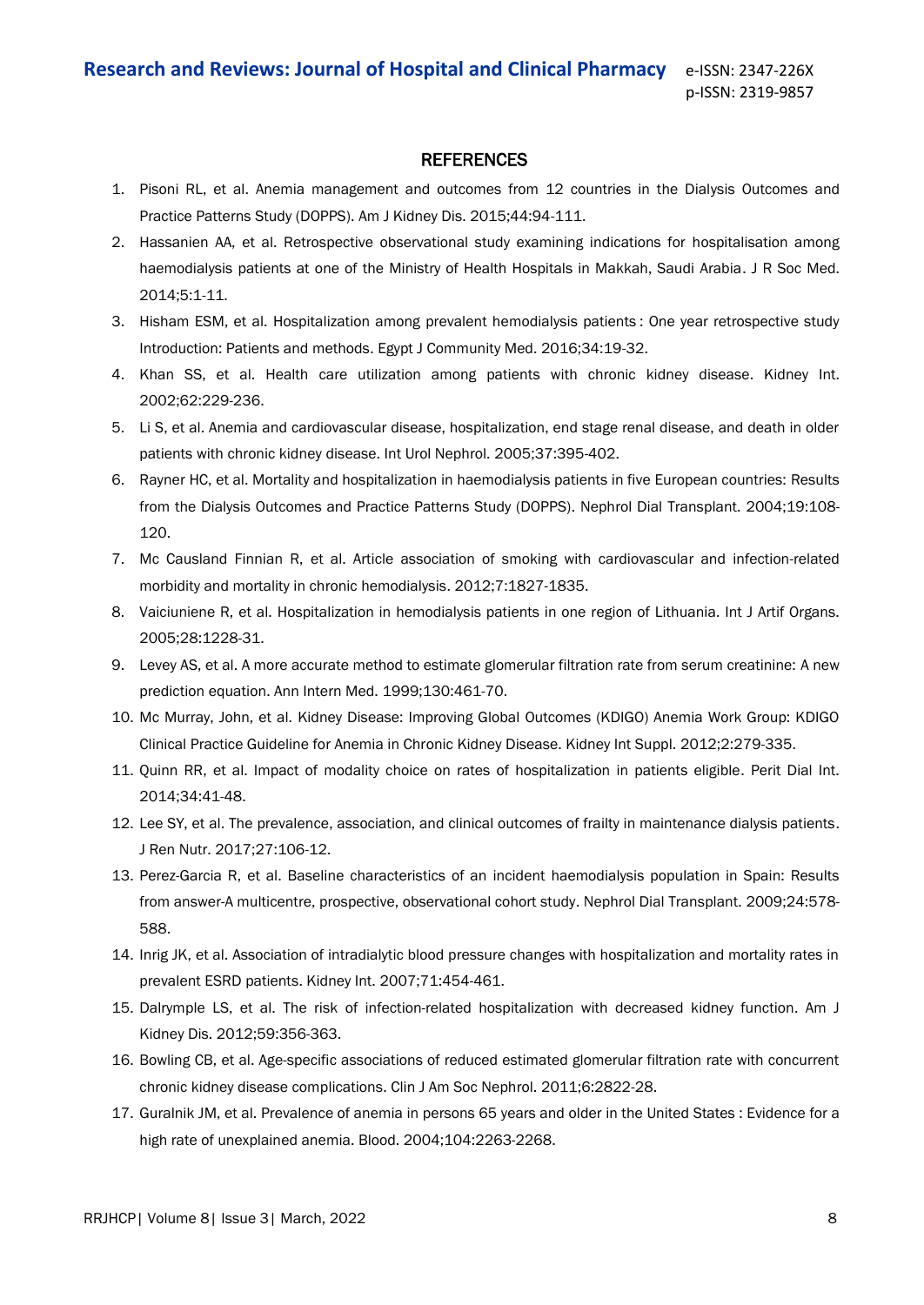# **REFERENCES**

- 1. Pisoni RL, et al. [Anemia management and outcomes from 12 countries in the Dialysis Outcomes and](https://www.sciencedirect.com/science/article/abs/pii/S0272638604005062)  [Practice Patterns Study \(DOPPS\).](https://www.sciencedirect.com/science/article/abs/pii/S0272638604005062) Am J Kidney Dis. 2015;44:94-111.
- 2. Hassanien AA, et al. [Retrospective observational study examining indications for hospitalisation among](https://journals.sagepub.com/doi/full/10.1177/2054270414547146)  [haemodialysis patients at one of the Ministry of Health Hospitals in Makkah, Saudi Arabia.](https://journals.sagepub.com/doi/full/10.1177/2054270414547146) J R Soc Med. 2014;5:1-11.
- 3. Hisham ESM, et al. [Hospitalization among prevalent hemodialysis patients](https://journals.ekb.eg/article_650.html) : One year retrospective study [Introduction: Patients and methods.](https://journals.ekb.eg/article_650.html) Egypt J Community Med. 2016;34:19-32.
- 4. Khan SS, et al. [Health care utilization among patients with chronic kidney disease.](https://www.sciencedirect.com/science/article/pii/S0085253815485400) Kidney Int. 2002;62:229-236.
- 5. Li S, et al. [Anemia and cardiovascular disease, hospitalization, end stage renal disease, and death in older](https://link.springer.com/article/10.1007/s11255-004-3068-2)  [patients with chronic kidney disease.](https://link.springer.com/article/10.1007/s11255-004-3068-2) Int Urol Nephrol. 2005;37:395-402.
- 6. Rayner HC, et al. [Mortality and hospitalization in haemodialysis patients in five European countries: Results](https://academic.oup.com/ndt/article/19/1/108/1813355?login=true)  [from the Dialysis Outcomes and Practice Patterns Study \(DOPPS\).](https://academic.oup.com/ndt/article/19/1/108/1813355?login=true) Nephrol Dial Transplant. 2004;19:108- 120.
- 7. Mc Causland Finnian R, et al. [Article association of smoking with cardiovascular and infection-related](https://cjasn.asnjournals.org/content/7/11/1827.abstract)  [morbidity and mortality in chronic hemodialysis.](https://cjasn.asnjournals.org/content/7/11/1827.abstract) 2012;7:1827-1835.
- 8. Vaiciuniene R, et al. [Hospitalization in hemodialysis patients in one region of Lithuania.](https://journals.sagepub.com/doi/abs/10.1177/039139880502801206) Int J Artif Organs. 2005;28:1228-31.
- 9. Levey AS, et al. [A more accurate method to estimate glomerular filtration rate from serum creatinine: A new](https://www.acpjournals.org/doi/abs/10.7326/0003-4819-130-6-199903160-00002)  [prediction equation.](https://www.acpjournals.org/doi/abs/10.7326/0003-4819-130-6-199903160-00002) Ann Intern Med. 1999;130:461-70.
- 10. Mc Murray, John, et al. [Kidney Disease: Improving Global Outcomes \(KDIGO\) Anemia Work Group: KDIGO](https://acuresearchbank.acu.edu.au/item/85399/kidney-disease-improving-global-outcomes-kdigo-anemia-work-group-kdigo-clinical-practice-guideline-for-anemia-in-chronic-kidney-disease)  [Clinical Practice Guideline for Anemia in Chronic Kidney Disease.](https://acuresearchbank.acu.edu.au/item/85399/kidney-disease-improving-global-outcomes-kdigo-anemia-work-group-kdigo-clinical-practice-guideline-for-anemia-in-chronic-kidney-disease) Kidney Int Suppl. 2012;2:279-335.
- 11. Quinn RR, et al. [Impact of modality choice on rates of hospitalization in patients eligible.](https://journals.sagepub.com/doi/abs/10.3747/pdi.2012.00257) Perit Dial Int. 2014;34:41-48.
- 12. Lee SY, et al. [The prevalence, association, and clinical outcomes of frailty in maintenance dialysis patients.](https://www.sciencedirect.com/science/article/pii/S1051227616301789) J Ren Nutr. 2017;27:106-12.
- 13. Perez-Garcia R, et al. [Baseline characteristics of an incident haemodialysis population in Spain: Results](https://academic.oup.com/ndt/article/24/2/578/1838886?login=true)  [from answer-A multicentre, prospective, observational cohort study.](https://academic.oup.com/ndt/article/24/2/578/1838886?login=true) Nephrol Dial Transplant. 2009;24:578- 588.
- 14. Inrig JK, et al. [Association of intradialytic blood pressure changes with hospitalization and mortality rates in](https://www.sciencedirect.com/science/article/pii/S0085253815523934)  [prevalent ESRD patients.](https://www.sciencedirect.com/science/article/pii/S0085253815523934) Kidney Int. 2007;71:454-461.
- 15. Dalrymple LS, et al. [The risk of infection-related hospitalization with decreased kidney function.](https://www.sciencedirect.com/science/article/abs/pii/S0272638611011784) Am J Kidney Dis. 2012;59:356-363.
- 16. Bowling CB, et al. [Age-specific associations of reduced estimated glomerular filtration rate with concurrent](https://cjasn.asnjournals.org/content/6/12/2822.short)  [chronic kidney disease complications.](https://cjasn.asnjournals.org/content/6/12/2822.short) Clin J Am Soc Nephrol. 2011;6:2822-28.
- 17. Guralnik JM, et al. [Prevalence of anemia in persons 65 years and older in the United States](https://ashpublications.org/blood/article/104/8/2263/19067/Prevalence-of-anemia-in-persons-65-years-and-older) : Evidence for a [high rate of unexplained anemia.](https://ashpublications.org/blood/article/104/8/2263/19067/Prevalence-of-anemia-in-persons-65-years-and-older) Blood. 2004;104:2263-2268.